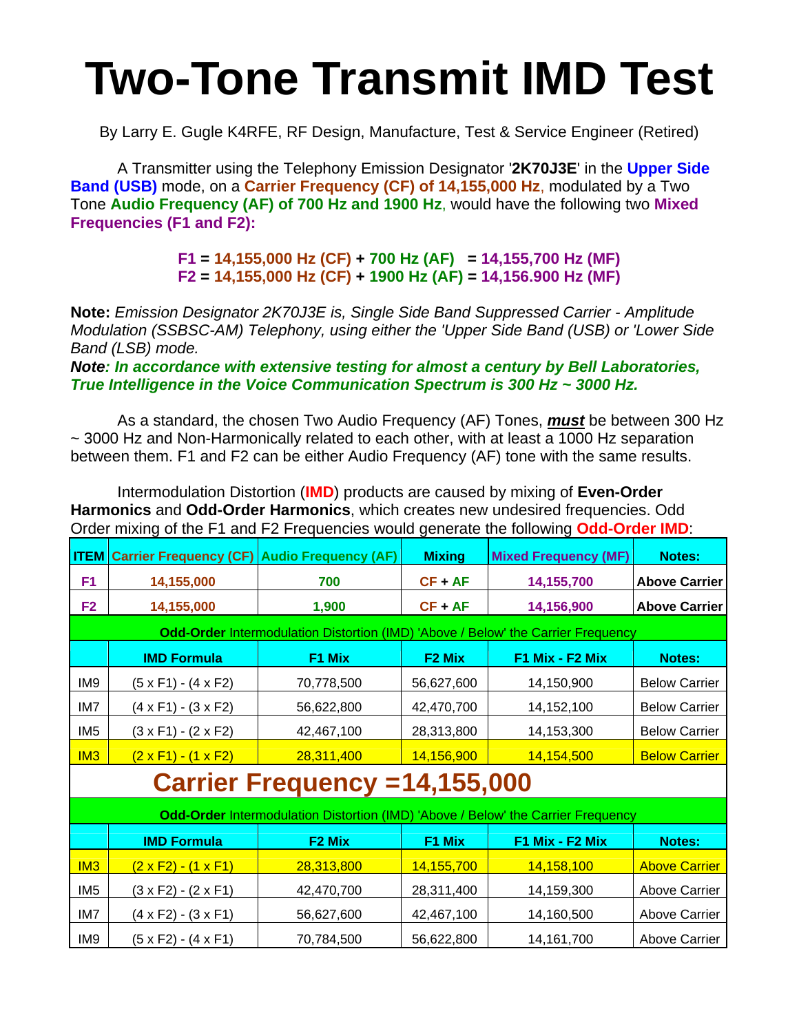## **Two-Tone Transmit IMD Test**

By Larry E. Gugle K4RFE, RF Design, Manufacture, Test & Service Engineer (Retired)

A Transmitter using the Telephony Emission Designator '**2K70J3E**' in the **Upper Side Band (USB)** mode, on a **Carrier Frequency (CF) of 14,155,000 Hz**, modulated by a Two Tone **Audio Frequency (AF) of 700 Hz and 1900 Hz**, would have the following two **Mixed Frequencies (F1 and F2):** 

> **F1 = 14,155,000 Hz (CF) + 700 Hz (AF) = 14,155,700 Hz (MF) F2 = 14,155,000 Hz (CF) + 1900 Hz (AF) = 14,156.900 Hz (MF)**

**Note:** *Emission Designator 2K70J3E is, Single Side Band Suppressed Carrier - Amplitude Modulation (SSBSC-AM) Telephony, using either the 'Upper Side Band (USB) or 'Lower Side Band (LSB) mode.*

*Note: In accordance with extensive testing for almost a century by Bell Laboratories, True Intelligence in the Voice Communication Spectrum is 300 Hz ~ 3000 Hz.* 

 As a standard, the chosen Two Audio Frequency (AF) Tones, *must* be between 300 Hz ~ 3000 Hz and Non-Harmonically related to each other, with at least a 1000 Hz separation between them. F1 and F2 can be either Audio Frequency (AF) tone with the same results.

 Intermodulation Distortion (**IMD**) products are caused by mixing of **Even-Order Harmonics** and **Odd-Order Harmonics**, which creates new undesired frequencies. Odd Order mixing of the F1 and F2 Frequencies would generate the following **Odd-Order IMD**:

| <b>ITEM</b>                                                                             | <b>Carrier Frequency (CF) Audio Frequency (AF)</b> |                    | <b>Mixing</b>      | <b>Mixed Frequency (MF)</b> | <b>Notes:</b>        |
|-----------------------------------------------------------------------------------------|----------------------------------------------------|--------------------|--------------------|-----------------------------|----------------------|
| F <sub>1</sub>                                                                          | 14,155,000                                         | 700                | $CF + AF$          | 14,155,700                  | <b>Above Carrier</b> |
| F <sub>2</sub>                                                                          | 14,155,000                                         | 1,900              | $CF + AF$          | 14,156,900                  | <b>Above Carrier</b> |
| <b>Odd-Order Intermodulation Distortion (IMD) 'Above / Below' the Carrier Frequency</b> |                                                    |                    |                    |                             |                      |
|                                                                                         | <b>IMD Formula</b>                                 | F1 Mix             | F <sub>2</sub> Mix | F1 Mix - F2 Mix             | <b>Notes:</b>        |
| IM <sub>9</sub>                                                                         | (5 x F1) - (4 x F2)                                | 70,778,500         | 56,627,600         | 14,150,900                  | <b>Below Carrier</b> |
| IM7                                                                                     | $(4 \times F1) - (3 \times F2)$                    | 56,622,800         | 42,470,700         | 14,152,100                  | <b>Below Carrier</b> |
| IM <sub>5</sub>                                                                         | $(3 \times F1) - (2 \times F2)$                    | 42,467,100         | 28,313,800         | 14,153,300                  | <b>Below Carrier</b> |
| IM3                                                                                     | $(2 \times F1) - (1 \times F2)$                    | 28,311,400         | 14,156,900         | 14,154,500                  | <b>Below Carrier</b> |
| <b>Carrier Frequency =14,155,000</b>                                                    |                                                    |                    |                    |                             |                      |
| Odd-Order Intermodulation Distortion (IMD) 'Above / Below' the Carrier Frequency        |                                                    |                    |                    |                             |                      |
|                                                                                         | <b>IMD Formula</b>                                 | F <sub>2</sub> Mix | F1 Mix             | F1 Mix - F2 Mix             | <b>Notes:</b>        |
| IM3                                                                                     | $(2 \times F2) - (1 \times F1)$                    | 28,313,800         | 14,155,700         | 14,158,100                  | <b>Above Carrier</b> |
| IM <sub>5</sub>                                                                         | $(3 \times F2) - (2 \times F1)$                    | 42,470,700         | 28,311,400         | 14,159,300                  | <b>Above Carrier</b> |
| IM7                                                                                     | (4 x F2) - (3 x F1)                                | 56,627,600         | 42,467,100         | 14,160,500                  | Above Carrier        |
| IM <sub>9</sub>                                                                         | $(5 x F2) - (4 x F1)$                              | 70,784,500         | 56,622,800         | 14, 161, 700                | <b>Above Carrier</b> |